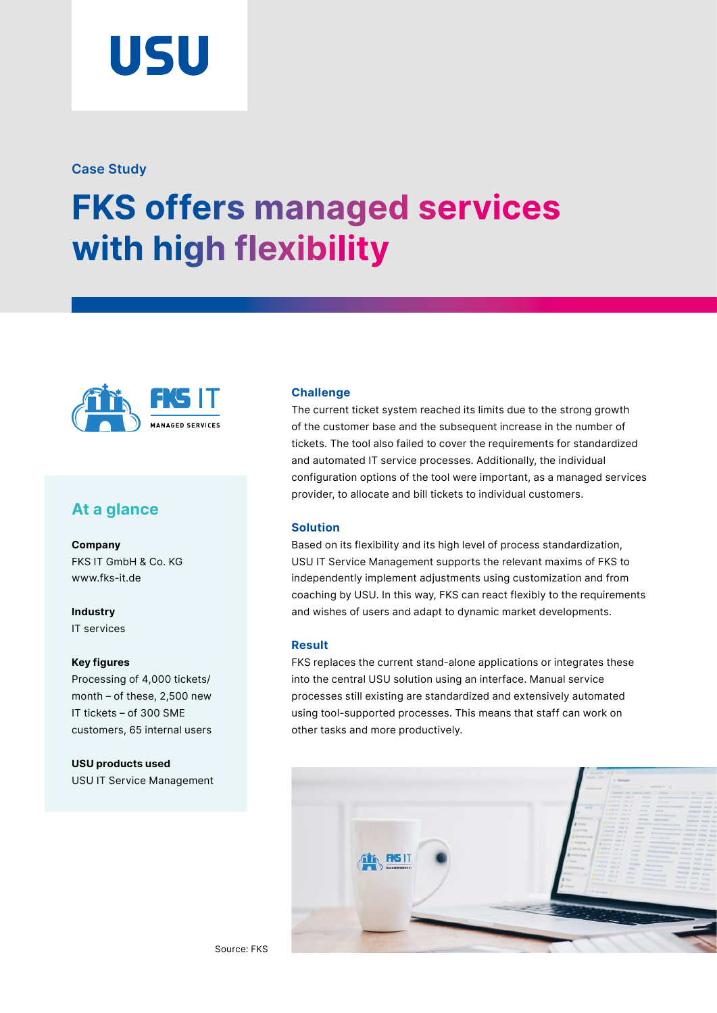

### **Case Study**

# **FKS offers managed services with high flexibility**



## **At a glance**

**Company**  FKS IT GmbH & Co. KG [www.fks-it.de](https://www.fks-it.de/)

**Industry**  IT services

#### **Key figures**

Processing of 4,000 tickets/ month – of these, 2,500 new IT tickets – of 300 SME customers, 65 internal users

**USU products used**  USU IT Service Management

#### **Challenge**

The current ticket system reached its limits due to the strong growth of the customer base and the subsequent increase in the number of tickets. The tool also failed to cover the requirements for standardized and automated IT service processes. Additionally, the individual configuration options of the tool were important, as a managed services provider, to allocate and bill tickets to individual customers.

#### **Solution**

Based on its flexibility and its high level of process standardization, USU IT Service Management supports the relevant maxims of FKS to independently implement adjustments using customization and from coaching by USU. In this way, FKS can react flexibly to the requirements and wishes of users and adapt to dynamic market developments.

#### **Result**

FKS replaces the current stand-alone applications or integrates these into the central USU solution using an interface. Manual service processes still existing are standardized and extensively automated using tool-supported processes. This means that staff can work on other tasks and more productively.

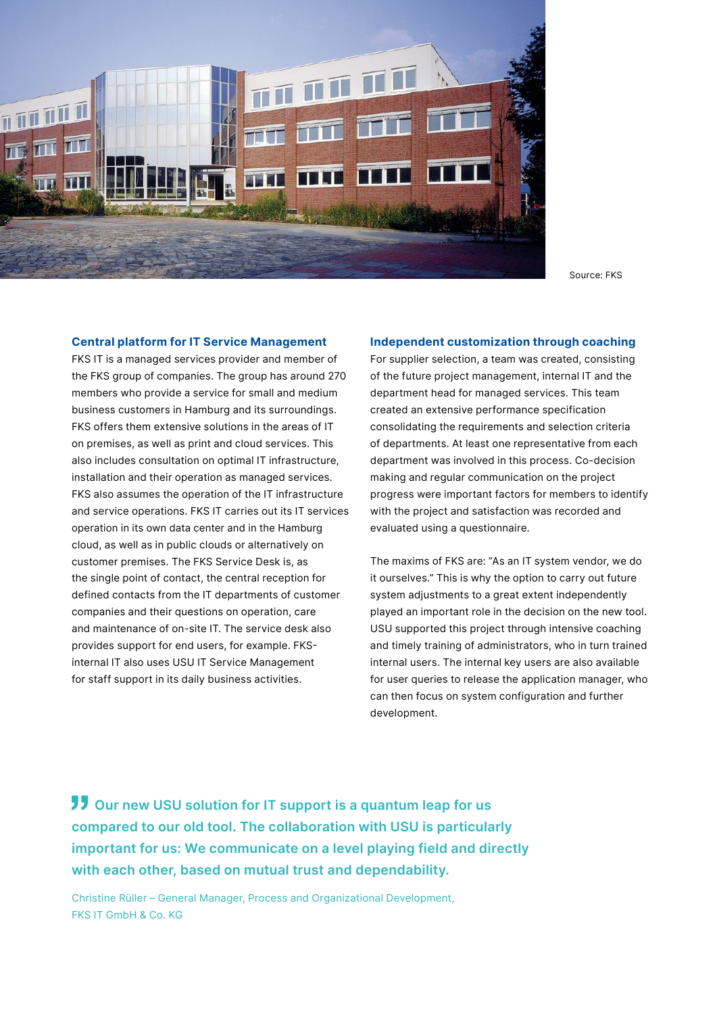

Source: FKS

#### **Central platform for IT Service Management**

FKS IT is a managed services provider and member of the FKS group of companies. The group has around 270 members who provide a service for small and medium business customers in Hamburg and its surroundings. FKS offers them extensive solutions in the areas of IT on premises, as well as print and cloud services. This also includes consultation on optimal IT infrastructure, installation and their operation as managed services. FKS also assumes the operation of the IT infrastructure and service operations. FKS IT carries out its IT services operation in its own data center and in the Hamburg cloud, as well as in public clouds or alternatively on customer premises. The FKS Service Desk is, as the single point of contact, the central reception for defined contacts from the IT departments of customer companies and their questions on operation, care and maintenance of on-site IT. The service desk also provides support for end users, for example. FKSinternal IT also uses USU IT Service Management for staff support in its daily business activities.

#### **Independent customization through coaching**

For supplier selection, a team was created, consisting of the future project management, internal IT and the department head for managed services. This team created an extensive performance specification consolidating the requirements and selection criteria of departments. At least one representative from each department was involved in this process. Co-decision making and regular communication on the project progress were important factors for members to identify with the project and satisfaction was recorded and evaluated using a questionnaire.

The maxims of FKS are: "As an IT system vendor, we do it ourselves." This is why the option to carry out future system adjustments to a great extent independently played an important role in the decision on the new tool. USU supported this project through intensive coaching and timely training of administrators, who in turn trained internal users. The internal key users are also available for user queries to release the application manager, who can then focus on system configuration and further development.

**JJ** Our new USU solution for IT support is a quantum leap for us **compared to our old tool. The collaboration with USU is particularly important for us: We communicate on a level playing field and directly with each other, based on mutual trust and dependability.**

Christine Rüller – General Manager, Process and Organizational Development, FKS IT GmbH & Co. KG